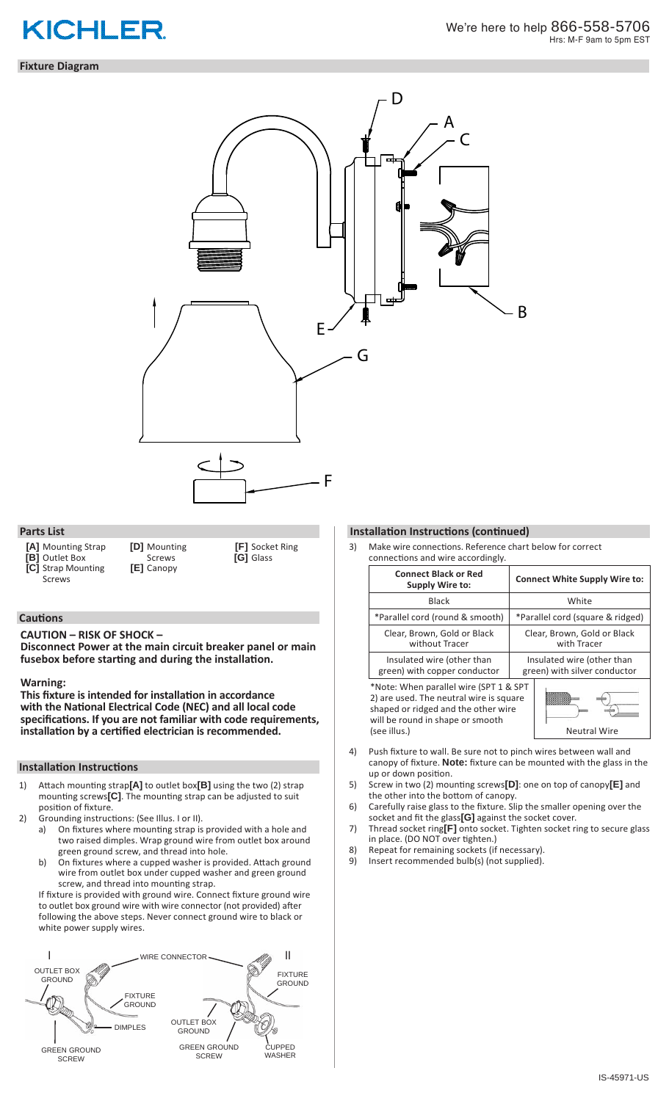# **KICHLER**

### **Fixture Diagram**



### **Parts List**

- **[A]** Mounting Strap
- **[B]** Outlet Box
- 

**[C]** Strap Mounting Screws

**[D]** Mounting Screws **[E]** Canopy

**[F]** Socket Ring **[G]** Glass

### **Cautions**

**CAUTION – RISK OF SHOCK –** 

**Disconnect Power at the main circuit breaker panel or main fusebox before starting and during the installation.** 

### **Warning:**

**This fixture is intended for installation in accordance with the National Electrical Code (NEC) and all local code specifications. If you are not familiar with code requirements, installation by a certified electrician is recommended.**

### **Installation Instructions**

- 1) Attach mounting strap**[A]** to outlet box**[B]** using the two (2) strap mounting screws**[C]**. The mounting strap can be adjusted to suit position of fixture.
- 2) Grounding instructions: (See Illus. I or II).<br>a) On fixtures where mounting strap is
	- On fixtures where mounting strap is provided with a hole and two raised dimples. Wrap ground wire from outlet box around green ground screw, and thread into hole.
	- b) On fixtures where a cupped washer is provided. Attach ground wire from outlet box under cupped washer and green ground screw, and thread into mounting strap.

If fixture is provided with ground wire. Connect fixture ground wire to outlet box ground wire with wire connector (not provided) after following the above steps. Never connect ground wire to black or white power supply wires.



### **Installation Instructions (continued)**

3) Make wire connections. Reference chart below for correct connections and wire accordingly.

| <b>Connect Black or Red</b><br><b>Supply Wire to:</b>                                                                                                                        | <b>Connect White Supply Wire to:</b>                       |
|------------------------------------------------------------------------------------------------------------------------------------------------------------------------------|------------------------------------------------------------|
| <b>Black</b>                                                                                                                                                                 | White                                                      |
| *Parallel cord (round & smooth)                                                                                                                                              | *Parallel cord (square & ridged)                           |
| Clear, Brown, Gold or Black<br>without Tracer                                                                                                                                | Clear, Brown, Gold or Black<br>with Tracer                 |
| Insulated wire (other than<br>green) with copper conductor                                                                                                                   | Insulated wire (other than<br>green) with silver conductor |
| *Note: When parallel wire (SPT 1 & SPT<br>2) are used. The neutral wire is square<br>shaped or ridged and the other wire<br>will be round in shape or smooth<br>(see illus.) | <b>Neutral Wire</b>                                        |

- 4) Push fixture to wall. Be sure not to pinch wires between wall and canopy of fixture. **Note:** fixture can be mounted with the glass in the up or down position.
- 5) Screw in two (2) mounting screws**[D]**: one on top of canopy**[E]** and the other into the bottom of canopy.
- 6) Carefully raise glass to the fixture. Slip the smaller opening over the socket and fit the glass**[G]** against the socket cover.
- 7) Thread socket ring**[F]** onto socket. Tighten socket ring to secure glass in place. (DO NOT over tighten.)
- 8) Repeat for remaining sockets (if necessary).
- 9) Insert recommended bulb(s) (not supplied).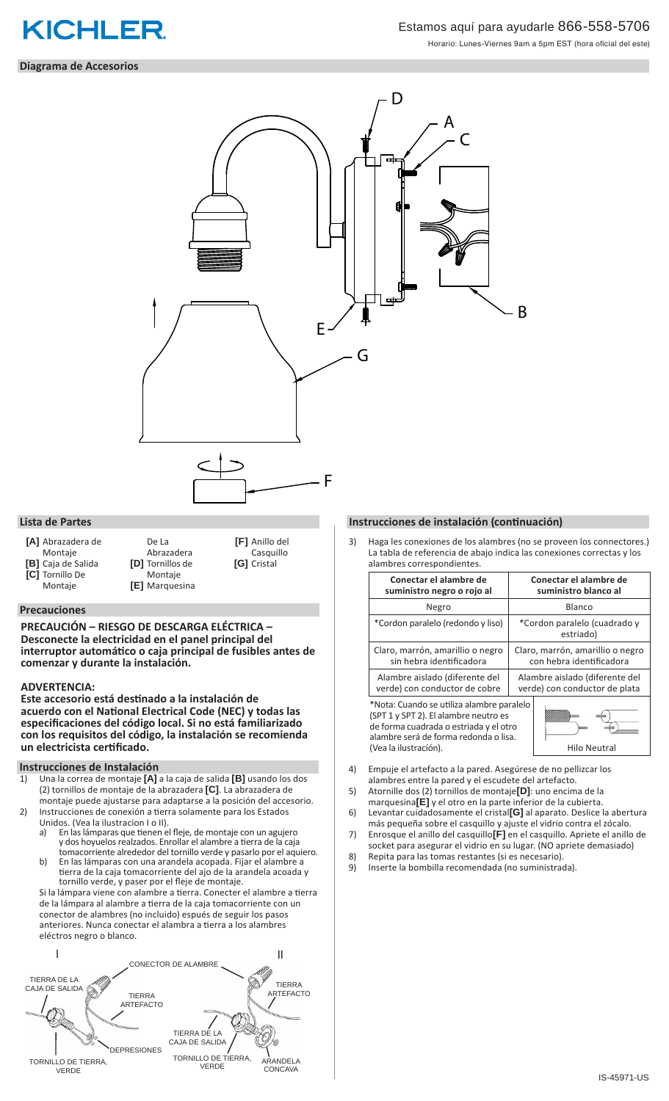

### Estamos aquí para ayudarle 866-558-5706

Horario: Lunes-Viernes 9am a 5pm EST (hora oficial del este)

### **Diagrama de Accesorios**



**[A]** Abrazadera de Montaje **[B]** Caja de Salida **[C]** Tornillo De

Montaje

- De La **[D]** Tornillos de **[E]** Marquesina
- Abrazadera Montaje

**[F]** Anillo del Casquillo **[G]** Cristal

#### **Precauciones**

**PRECAUCIÓN – RIESGO DE DESCARGA ELÉCTRICA – Desconecte la electricidad en el panel principal del interruptor automático o caja principal de fusibles antes de comenzar y durante la instalación.** 

### **ADVERTENCIA:**

**Este accesorio está destinado a la instalación de acuerdo con el National Electrical Code (NEC) y todas las especificaciones del código local. Si no está familiarizado con los requisitos del código, la instalación se recomienda un electricista certificado.**

### **Instrucciones de Instalación**

- 1) Una la correa de montaje **[A]** a la caja de salida **[B]** usando los dos (2) tornillos de montaje de la abrazadera **[C]**. La abrazadera de montaje puede ajustarse para adaptarse a la posición del accesorio.
- 2) Instrucciones de conexión a tierra solamente para los Estados Unidos. (Vea la ilustracion I o II).<br>a) En las lámparas que tienen e
	- En las lámparas que tienen el fleje, de montaje con un agujero y dos hoyuelos realzados. Enrollar el alambre a tierra de la caja tomacorriente alrededor del tornillo verde y pasarlo por el aquiero.
	- b) En las lámparas con una arandela acopada. Fijar el alambre a tierra de la caja tomacorriente del ajo de la arandela acoada y tornillo verde, y paser por el fleje de montaje.

Si la lámpara viene con alambre a tierra. Conecter el alambre a tierra de la lámpara al alambre a tierra de la caja tomacorriente con un conector de alambres (no incluido) espués de seguir los pasos anteriores. Nunca conectar el alambra a tierra a los alambres eléctros negro o blanco.



### **Lista de Partes Instrucciones de instalación (continuación)**

Haga les conexiones de los alambres (no se proveen los connectores.) La tabla de referencia de abajo indica las conexiones correctas y los alambres correspondientes

| <u>alullioi co con copolitaichteo.</u>                                                                                                                                |                                                                 |
|-----------------------------------------------------------------------------------------------------------------------------------------------------------------------|-----------------------------------------------------------------|
| Conectar el alambre de<br>suministro negro o rojo al                                                                                                                  | Conectar el alambre de<br>suministro blanco al                  |
| Negro                                                                                                                                                                 | Blanco                                                          |
| *Cordon paralelo (redondo y liso)                                                                                                                                     | *Cordon paralelo (cuadrado y<br>estriado)                       |
| Claro, marrón, amarillio o negro<br>sin hebra identificadora                                                                                                          | Claro, marrón, amarillio o negro<br>con hebra identificadora    |
| Alambre aislado (diferente del<br>verde) con conductor de cobre                                                                                                       | Alambre aislado (diferente del<br>verde) con conductor de plata |
| *Nota: Cuando se utiliza alambre paralelo<br>(SPT 1 y SPT 2). El alambre neutro es<br>de forma cuadrada o estriada y el otro<br>alambre será de forma redonda o lisa. |                                                                 |

- 4) Empuje el artefacto a la pared. Asegúrese de no pellizcar los alambres entre la pared y el escudete del artefacto.
- 5) Atornille dos (2) tornillos de montaje**[D]**: uno encima de la
- marquesina**[E]** y el otro en la parte inferior de la cubierta. 6) Levantar cuidadosamente el cristal**[G]** al aparato. Deslice la abertura

(Vea la ilustración). Actual de la estadística en la estadística en la estadística en la estadística en la est

- más pequeña sobre el casquillo y ajuste el vidrio contra el zócalo. 7) Enrosque el anillo del casquillo**[F]** en el casquillo. Apriete el anillo de socket para asegurar el vidrio en su lugar. (NO apriete demasiado)
- 8) Repita para las tomas restantes (si es necesario).
- 9) Inserte la bombilla recomendada (no suministrada).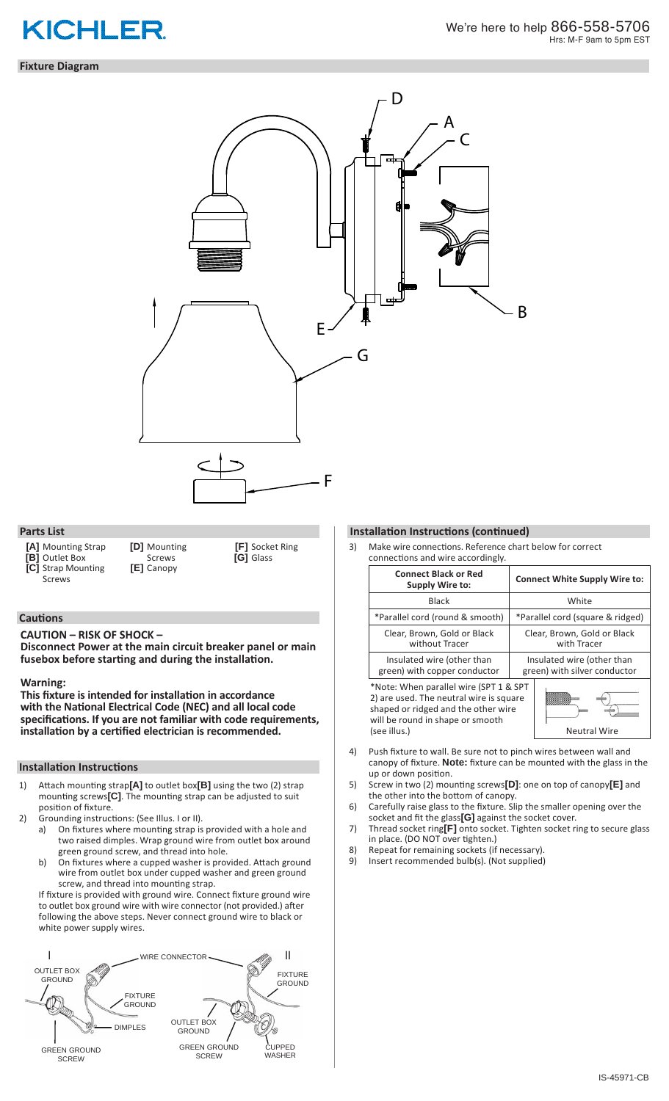# **KICHLER**

### **Fixture Diagram**



### **Parts List**

- **[A]** Mounting Strap
- **[B]** Outlet Box
- **[C]** Strap Mounting
- Screws
- 
- **[D]** Mounting Screws **[E]** Canopy

**[F]** Socket Ring **[G]** Glass

### **Cautions**

**CAUTION – RISK OF SHOCK –** 

**Disconnect Power at the main circuit breaker panel or main fusebox before starting and during the installation.** 

### **Warning:**

**This fixture is intended for installation in accordance with the National Electrical Code (NEC) and all local code specifications. If you are not familiar with code requirements, installation by a certified electrician is recommended.**

### **Installation Instructions**

- 1) Attach mounting strap**[A]** to outlet box**[B]** using the two (2) strap mounting screws**[C]**. The mounting strap can be adjusted to suit position of fixture.
- 
- 2) Grounding instructions: (See Illus. I or II).<br>a) On fixtures where mounting strap is On fixtures where mounting strap is provided with a hole and two raised dimples. Wrap ground wire from outlet box around green ground screw, and thread into hole.
	- b) On fixtures where a cupped washer is provided. Attach ground wire from outlet box under cupped washer and green ground screw, and thread into mounting strap.

If fixture is provided with ground wire. Connect fixture ground wire to outlet box ground wire with wire connector (not provided.) after following the above steps. Never connect ground wire to black or white power supply wires.



### **Installation Instructions (continued)**

3) Make wire connections. Reference chart below for correct connections and wire accordingly.

| <b>Connect Black or Red</b><br>Supply Wire to:                                                                                                                               | <b>Connect White Supply Wire to:</b>                       |
|------------------------------------------------------------------------------------------------------------------------------------------------------------------------------|------------------------------------------------------------|
| <b>Black</b>                                                                                                                                                                 | White                                                      |
| *Parallel cord (round & smooth)                                                                                                                                              | *Parallel cord (square & ridged)                           |
| Clear, Brown, Gold or Black<br>without Tracer                                                                                                                                | Clear, Brown, Gold or Black<br>with Tracer                 |
| Insulated wire (other than<br>green) with copper conductor                                                                                                                   | Insulated wire (other than<br>green) with silver conductor |
| *Note: When parallel wire (SPT 1 & SPT<br>2) are used. The neutral wire is square<br>shaped or ridged and the other wire<br>will be round in shape or smooth<br>(see illus.) | <b>Neutral Wire</b>                                        |

- 4) Push fixture to wall. Be sure not to pinch wires between wall and canopy of fixture. **Note:** fixture can be mounted with the glass in the up or down position.
- 5) Screw in two (2) mounting screws**[D]**: one on top of canopy**[E]** and the other into the bottom of canopy.
- 6) Carefully raise glass to the fixture. Slip the smaller opening over the socket and fit the glass**[G]** against the socket cover.
- 7) Thread socket ring**[F]** onto socket. Tighten socket ring to secure glass in place. (DO NOT over tighten.)
- 8) Repeat for remaining sockets (if necessary).
- 9) Insert recommended bulb(s). (Not supplied)